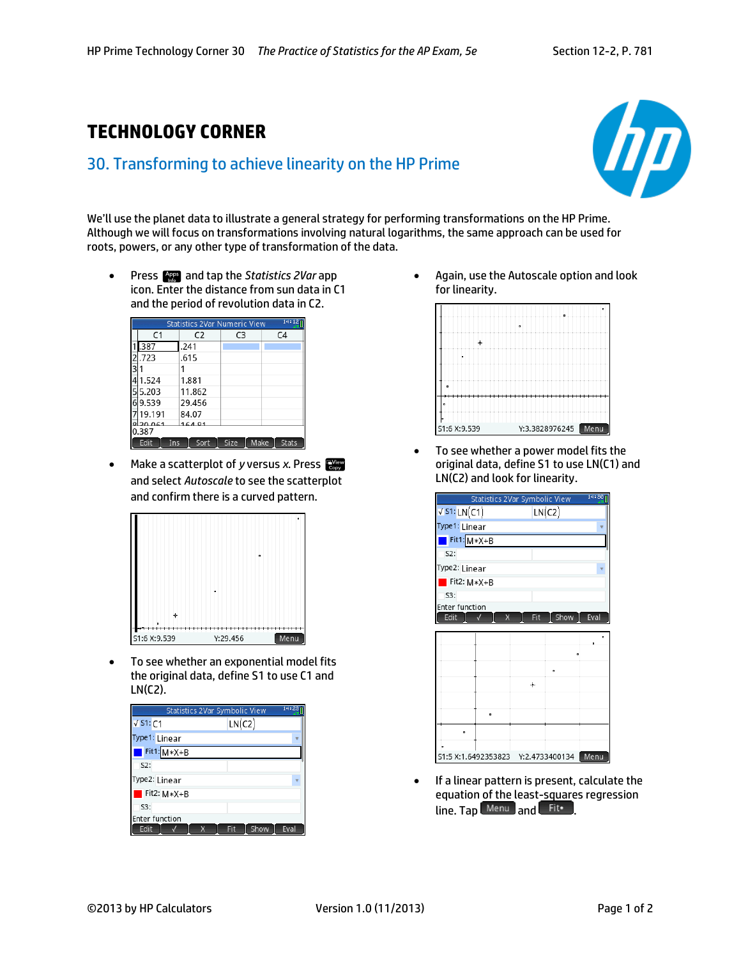## **TECHNOLOGY CORNER**

## 30. Transforming to achieve linearity on the HP Prime



We'll use the planet data to illustrate a general strategy for performing transformations on the HP Prime. Although we will focus on transformations involving natural logarithms, the same approach can be used for roots, powers, or any other type of transformation of the data.

**•** Press **App** and tap the *Statistics 2Var* app icon. Enter the distance from sun data in C1 and the period of revolution data in C2.

| 14:12<br>Statistics 2Var Numeric View |        |      |      |                |  |
|---------------------------------------|--------|------|------|----------------|--|
| C <sub>1</sub>                        | C2     | C3   |      | C <sub>4</sub> |  |
| .387                                  | .241   |      |      |                |  |
| .723                                  | .615   |      |      |                |  |
|                                       |        |      |      |                |  |
| 1.524                                 | 1.881  |      |      |                |  |
| 5.203                                 | 11.862 |      |      |                |  |
| 9.539                                 | 29.456 |      |      |                |  |
| 19.191                                | 84.07  |      |      |                |  |
| 20.061<br>0.387                       | 16491  |      |      |                |  |
| Edit<br>Ins                           | Sort   | Size | Make | Stats          |  |

Make a scatterplot of *y* versus *x*. Press and select *Autoscale* to see the scatterplot and confirm there is a curved pattern.



 To see whether an exponential model fits the original data, define S1 to use C1 and LN(C2).

|                       |   | Statistics 2Var Symbolic View |        | 14:23 |
|-----------------------|---|-------------------------------|--------|-------|
| $\sqrt{51:}C1$        |   |                               | LN(C2) |       |
| Type1: Linear         |   |                               |        |       |
| $Fit1: M*X+B$         |   |                               |        |       |
| $S2$ :                |   |                               |        |       |
| Type2: Linear         |   |                               |        |       |
| Fit2: M*X+B           |   |                               |        |       |
| $S3$ :                |   |                               |        |       |
| <b>Enter function</b> |   |                               |        |       |
| Edit                  | X | Fit                           | Show   | Eval  |

 Again, use the Autoscale option and look for linearity.



 To see whether a power model fits the original data, define S1 to use LN(C1) and LN(C2) and look for linearity.

| 14:30 <sub>1</sub><br>Statistics 2Var Symbolic View |   |   |        |                |      |
|-----------------------------------------------------|---|---|--------|----------------|------|
| $\sqrt{51:LN(C1)}$                                  |   |   | LN(C2) |                |      |
| Type1: Linear                                       |   |   |        |                |      |
| $Fit1: M*X+B$                                       |   |   |        |                |      |
| 52:                                                 |   |   |        |                |      |
| Type2: Linear                                       |   |   |        |                |      |
| Fit2: M*X+B                                         |   |   |        |                |      |
| 53:                                                 |   |   |        |                |      |
| <b>Enter function</b>                               |   |   |        |                |      |
| Edit                                                |   | x | Fit    | Show           | Eval |
|                                                     |   |   |        |                |      |
|                                                     |   |   |        |                |      |
|                                                     |   |   |        |                |      |
|                                                     |   |   |        | o              |      |
|                                                     |   |   | ╇      |                |      |
|                                                     |   |   |        |                |      |
|                                                     | ۰ |   |        |                |      |
|                                                     |   |   |        |                |      |
|                                                     |   |   |        |                |      |
| S1:5 X:1.6492353823                                 |   |   |        | Y:2.4733400134 | Menu |

 If a linear pattern is present, calculate the equation of the least-squares regression line. Tap Menu and Fit.